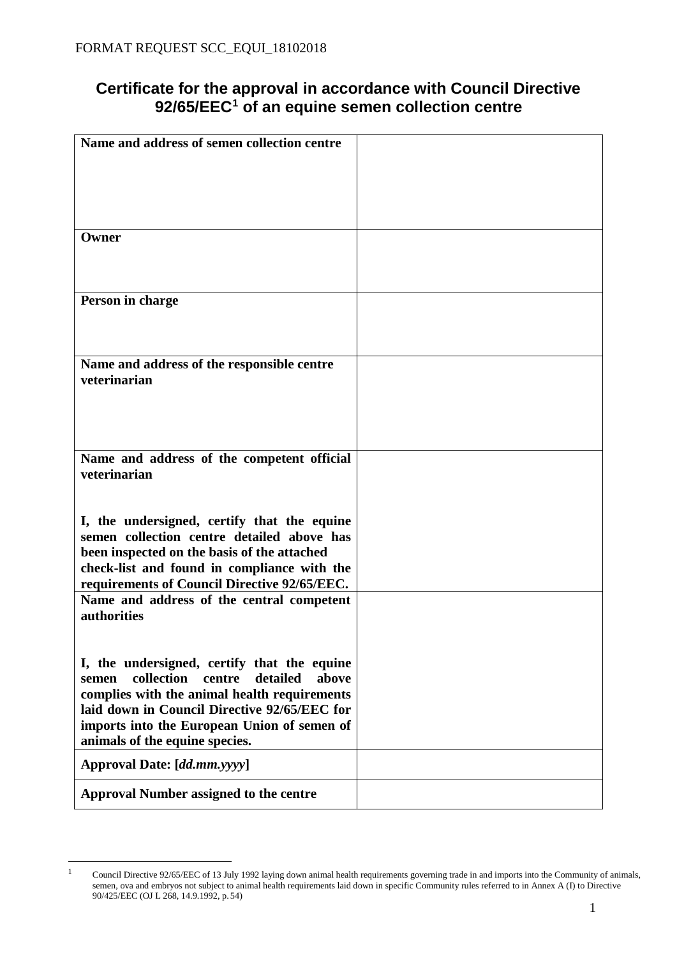## **Certificate for the approval in accordance with Council Directive 92/65/EEC[1](#page-0-0) of an equine semen collection centre**

| Name and address of semen collection centre        |  |
|----------------------------------------------------|--|
|                                                    |  |
|                                                    |  |
|                                                    |  |
|                                                    |  |
|                                                    |  |
|                                                    |  |
|                                                    |  |
| Owner                                              |  |
|                                                    |  |
|                                                    |  |
|                                                    |  |
|                                                    |  |
| Person in charge                                   |  |
|                                                    |  |
|                                                    |  |
|                                                    |  |
|                                                    |  |
| Name and address of the responsible centre         |  |
| veterinarian                                       |  |
|                                                    |  |
|                                                    |  |
|                                                    |  |
|                                                    |  |
|                                                    |  |
|                                                    |  |
| Name and address of the competent official         |  |
| veterinarian                                       |  |
|                                                    |  |
|                                                    |  |
|                                                    |  |
| I, the undersigned, certify that the equine        |  |
|                                                    |  |
| semen collection centre detailed above has         |  |
| been inspected on the basis of the attached        |  |
| check-list and found in compliance with the        |  |
| requirements of Council Directive 92/65/EEC.       |  |
|                                                    |  |
| Name and address of the central competent          |  |
| authorities                                        |  |
|                                                    |  |
|                                                    |  |
|                                                    |  |
| I, the undersigned, certify that the equine        |  |
| collection<br>centre<br>detailed<br>above<br>semen |  |
|                                                    |  |
| complies with the animal health requirements       |  |
| laid down in Council Directive 92/65/EEC for       |  |
| imports into the European Union of semen of        |  |
|                                                    |  |
| animals of the equine species.                     |  |
|                                                    |  |
| Approval Date: [dd.mm.yyyy]                        |  |
|                                                    |  |
| <b>Approval Number assigned to the centre</b>      |  |
|                                                    |  |

<span id="page-0-0"></span> $\frac{1}{1}$  Council Directive 92/65/EEC of 13 July 1992 laying down animal health requirements governing trade in and imports into the Community of animals, semen, ova and embryos not subject to animal health requirements laid down in specific Community rules referred to in Annex A (I) to Directive 90/425/EEC (OJ L 268, 14.9.1992, p. 54)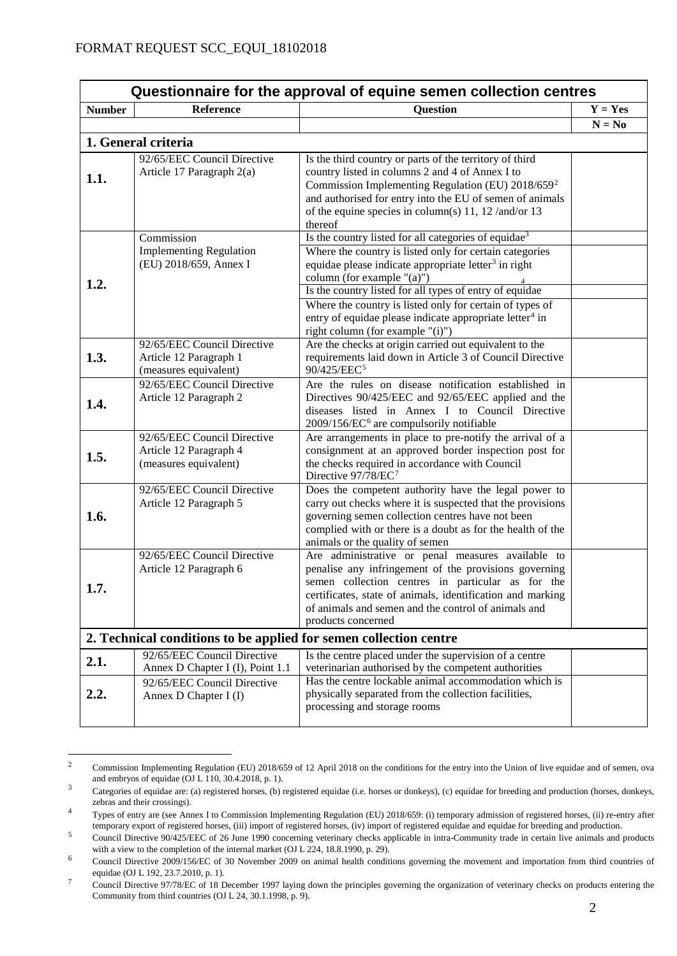| Questionnaire for the approval of equine semen collection centres |                                                                                |                                                                                                                                                                                                                                                                                                                                                                                                                                                                 |           |  |
|-------------------------------------------------------------------|--------------------------------------------------------------------------------|-----------------------------------------------------------------------------------------------------------------------------------------------------------------------------------------------------------------------------------------------------------------------------------------------------------------------------------------------------------------------------------------------------------------------------------------------------------------|-----------|--|
| <b>Number</b>                                                     | Reference                                                                      | <b>Question</b>                                                                                                                                                                                                                                                                                                                                                                                                                                                 | $Y = Yes$ |  |
|                                                                   |                                                                                |                                                                                                                                                                                                                                                                                                                                                                                                                                                                 | $N = No$  |  |
|                                                                   | 1. General criteria                                                            |                                                                                                                                                                                                                                                                                                                                                                                                                                                                 |           |  |
| 1.1.                                                              | 92/65/EEC Council Directive<br>Article 17 Paragraph 2(a)                       | Is the third country or parts of the territory of third<br>country listed in columns 2 and 4 of Annex I to<br>Commission Implementing Regulation (EU) 2018/659 <sup>2</sup><br>and authorised for entry into the EU of semen of animals<br>of the equine species in column(s) 11, 12/and/or 13<br>thereof                                                                                                                                                       |           |  |
| 1.2.                                                              | Commission<br><b>Implementing Regulation</b><br>(EU) 2018/659, Annex I         | Is the country listed for all categories of equidae <sup>3</sup><br>Where the country is listed only for certain categories<br>equidae please indicate appropriate letter <sup>3</sup> in right<br>column (for example "(a)")<br>Is the country listed for all types of entry of equidae<br>Where the country is listed only for certain of types of<br>entry of equidae please indicate appropriate letter <sup>4</sup> in<br>right column (for example "(i)") |           |  |
| 1.3.                                                              | 92/65/EEC Council Directive<br>Article 12 Paragraph 1<br>(measures equivalent) | Are the checks at origin carried out equivalent to the<br>requirements laid down in Article 3 of Council Directive<br>90/425/EEC <sup>5</sup>                                                                                                                                                                                                                                                                                                                   |           |  |
| 1.4.                                                              | 92/65/EEC Council Directive<br>Article 12 Paragraph 2                          | Are the rules on disease notification established in<br>Directives 90/425/EEC and 92/65/EEC applied and the<br>diseases listed in Annex I to Council Directive<br>2009/156/EC <sup>6</sup> are compulsorily notifiable                                                                                                                                                                                                                                          |           |  |
| 1.5.                                                              | 92/65/EEC Council Directive<br>Article 12 Paragraph 4<br>(measures equivalent) | Are arrangements in place to pre-notify the arrival of a<br>consignment at an approved border inspection post for<br>the checks required in accordance with Council<br>Directive 97/78/EC <sup>7</sup>                                                                                                                                                                                                                                                          |           |  |
| 1.6.                                                              | 92/65/EEC Council Directive<br>Article 12 Paragraph 5                          | Does the competent authority have the legal power to<br>carry out checks where it is suspected that the provisions<br>governing semen collection centres have not been<br>complied with or there is a doubt as for the health of the<br>animals or the quality of semen                                                                                                                                                                                         |           |  |
| 1.7.                                                              | 92/65/EEC Council Directive<br>Article 12 Paragraph 6                          | Are administrative or penal measures available to<br>penalise any infringement of the provisions governing<br>semen collection centres in particular as for the<br>certificates, state of animals, identification and marking<br>of animals and semen and the control of animals and<br>products concerned                                                                                                                                                      |           |  |
|                                                                   | 2. Technical conditions to be applied for semen collection centre              |                                                                                                                                                                                                                                                                                                                                                                                                                                                                 |           |  |
| 2.1.                                                              | 92/65/EEC Council Directive<br>Annex D Chapter I (I), Point 1.1                | Is the centre placed under the supervision of a centre<br>veterinarian authorised by the competent authorities                                                                                                                                                                                                                                                                                                                                                  |           |  |
| 2.2.                                                              | 92/65/EEC Council Directive<br>Annex D Chapter I (I)                           | Has the centre lockable animal accommodation which is<br>physically separated from the collection facilities,<br>processing and storage rooms                                                                                                                                                                                                                                                                                                                   |           |  |

<span id="page-1-0"></span> $\frac{1}{2}$  Commission Implementing Regulation (EU) 2018/659 of 12 April 2018 on the conditions for the entry into the Union of live equidae and of semen, ova and embryos of equidae (OJ L 110, 30.4.2018, p. 1).

<span id="page-1-1"></span><sup>&</sup>lt;sup>3</sup> Categories of equidae are: (a) registered horses, (b) registered equidae (i.e. horses or donkeys), (c) equidae for breeding and production (horses, donkeys, zebras and their crossings).

<span id="page-1-2"></span><sup>4</sup> Types of entry are (see Annex I to Commission Implementing Regulation (EU) 2018/659: (i) temporary admission of registered horses, (ii) re-entry after temporary export of registered horses, (iii) import of registered horses, (iv) import of registered equidae and equidae for breeding and production.

<span id="page-1-3"></span><sup>5</sup> Council Directive 90/425/EEC of 26 June 1990 concerning veterinary checks applicable in intra-Community trade in certain live animals and products with a view to the completion of the internal market (OJ L 224, 18.8.1990, p. 29).

<span id="page-1-4"></span>Council Directive 2009/156/EC of 30 November 2009 on animal health conditions governing the movement and importation from third countries of equidae (OJ L 192, 23.7.2010, p. 1).

<span id="page-1-5"></span><sup>7</sup> Council Directive 97/78/EC of 18 December 1997 laying down the principles governing the organization of veterinary checks on products entering the Community from third countries (OJ L 24, 30.1.1998, p. 9).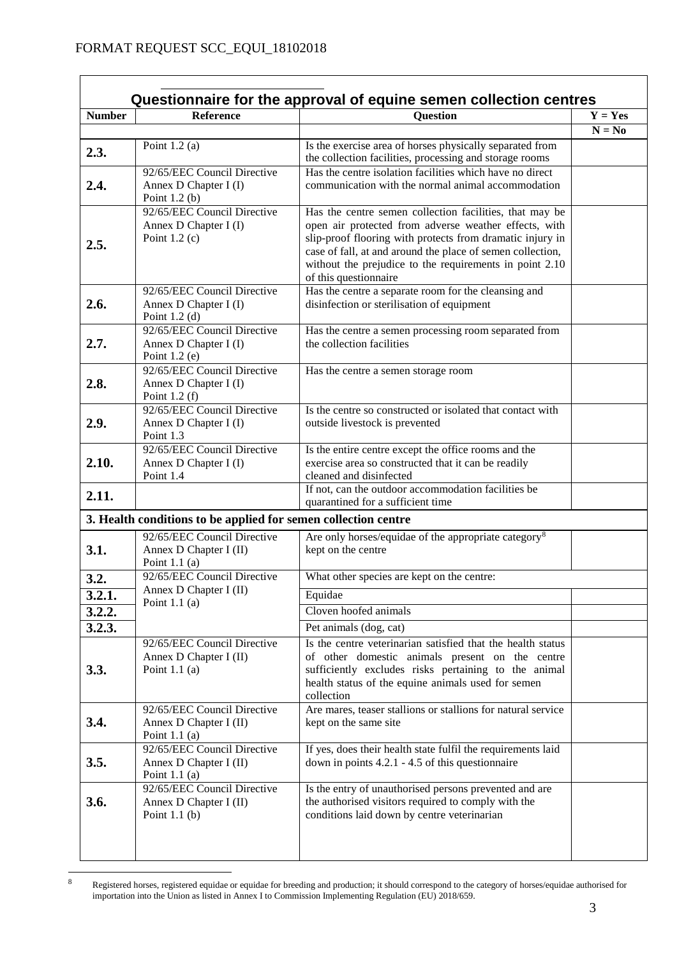$\mathsf{r}$ 

| <b>Number</b> | <b>Reference</b>                                               | <b>Ouestion</b>                                                                                                  | $\overline{Y}$ = Yes |
|---------------|----------------------------------------------------------------|------------------------------------------------------------------------------------------------------------------|----------------------|
|               |                                                                |                                                                                                                  | $N = No$             |
| 2.3.          | Point $1.2$ (a)                                                | Is the exercise area of horses physically separated from                                                         |                      |
|               |                                                                | the collection facilities, processing and storage rooms                                                          |                      |
|               | 92/65/EEC Council Directive                                    | Has the centre isolation facilities which have no direct                                                         |                      |
| 2.4.          | Annex D Chapter I (I)                                          | communication with the normal animal accommodation                                                               |                      |
|               | Point $1.2(b)$<br>92/65/EEC Council Directive                  |                                                                                                                  |                      |
|               | Annex D Chapter I (I)                                          | Has the centre semen collection facilities, that may be<br>open air protected from adverse weather effects, with |                      |
|               | Point $1.2$ (c)                                                | slip-proof flooring with protects from dramatic injury in                                                        |                      |
| 2.5.          |                                                                | case of fall, at and around the place of semen collection,                                                       |                      |
|               |                                                                | without the prejudice to the requirements in point 2.10                                                          |                      |
|               |                                                                | of this questionnaire                                                                                            |                      |
|               | 92/65/EEC Council Directive                                    | Has the centre a separate room for the cleansing and                                                             |                      |
| 2.6.          | Annex D Chapter I (I)                                          | disinfection or sterilisation of equipment                                                                       |                      |
|               | Point $1.2$ (d)                                                |                                                                                                                  |                      |
|               | 92/65/EEC Council Directive                                    | Has the centre a semen processing room separated from                                                            |                      |
| 2.7.          | Annex D Chapter I (I)                                          | the collection facilities                                                                                        |                      |
|               | Point $1.2$ (e)                                                |                                                                                                                  |                      |
|               | 92/65/EEC Council Directive                                    | Has the centre a semen storage room                                                                              |                      |
| 2.8.          | Annex D Chapter I (I)<br>Point $1.2(f)$                        |                                                                                                                  |                      |
|               | 92/65/EEC Council Directive                                    | Is the centre so constructed or isolated that contact with                                                       |                      |
| 2.9.          | Annex D Chapter I (I)                                          | outside livestock is prevented                                                                                   |                      |
|               | Point 1.3                                                      |                                                                                                                  |                      |
|               | 92/65/EEC Council Directive                                    | Is the entire centre except the office rooms and the                                                             |                      |
| 2.10.         | Annex D Chapter I (I)                                          | exercise area so constructed that it can be readily                                                              |                      |
|               | Point 1.4                                                      | cleaned and disinfected                                                                                          |                      |
| 2.11.         |                                                                | If not, can the outdoor accommodation facilities be                                                              |                      |
|               |                                                                | quarantined for a sufficient time                                                                                |                      |
|               | 3. Health conditions to be applied for semen collection centre |                                                                                                                  |                      |
|               | 92/65/EEC Council Directive<br>Annex D Chapter I (II)          | Are only horses/equidae of the appropriate category <sup>8</sup>                                                 |                      |
| 3.1.          |                                                                | kept on the centre                                                                                               |                      |
|               | Point $1.1$ (a)<br>92/65/EEC Council Directive                 |                                                                                                                  |                      |
| 3.2.          | Annex D Chapter I (II)                                         | What other species are kept on the centre:                                                                       |                      |
| 3.2.1.        | Point $1.1$ (a)                                                | Equidae                                                                                                          |                      |
| 3.2.2.        |                                                                | Cloven hoofed animals                                                                                            |                      |
| 3.2.3.        |                                                                | Pet animals (dog, cat)                                                                                           |                      |
|               | 92/65/EEC Council Directive                                    | Is the centre veterinarian satisfied that the health status                                                      |                      |
|               | Annex D Chapter I (II)                                         | of other domestic animals present on the centre                                                                  |                      |
| 3.3.          | Point $1.1$ (a)                                                | sufficiently excludes risks pertaining to the animal                                                             |                      |
|               |                                                                | health status of the equine animals used for semen<br>collection                                                 |                      |
|               | 92/65/EEC Council Directive                                    | Are mares, teaser stallions or stallions for natural service                                                     |                      |
| 3.4.          | Annex D Chapter I (II)                                         | kept on the same site                                                                                            |                      |
|               | Point $1.1$ (a)                                                |                                                                                                                  |                      |
|               | 92/65/EEC Council Directive                                    | If yes, does their health state fulfil the requirements laid                                                     |                      |
| 3.5.          | Annex D Chapter I (II)                                         | down in points $4.2.1 - 4.5$ of this question naire                                                              |                      |
|               | Point $1.1$ (a)                                                |                                                                                                                  |                      |
|               | 92/65/EEC Council Directive                                    | Is the entry of unauthorised persons prevented and are                                                           |                      |
| 3.6.          | Annex D Chapter I (II)                                         | the authorised visitors required to comply with the                                                              |                      |
|               | Point $1.1$ (b)                                                | conditions laid down by centre veterinarian                                                                      |                      |
|               |                                                                |                                                                                                                  |                      |
|               |                                                                |                                                                                                                  |                      |
|               |                                                                |                                                                                                                  |                      |

<span id="page-2-0"></span> $\boldsymbol{8}$  $8$  Registered horses, registered equidae or equidae for breeding and production; it should correspond to the category of horses/equidae authorised for importation into the Union as listed in Annex I to Commission Implementing Regulation (EU) 2018/659.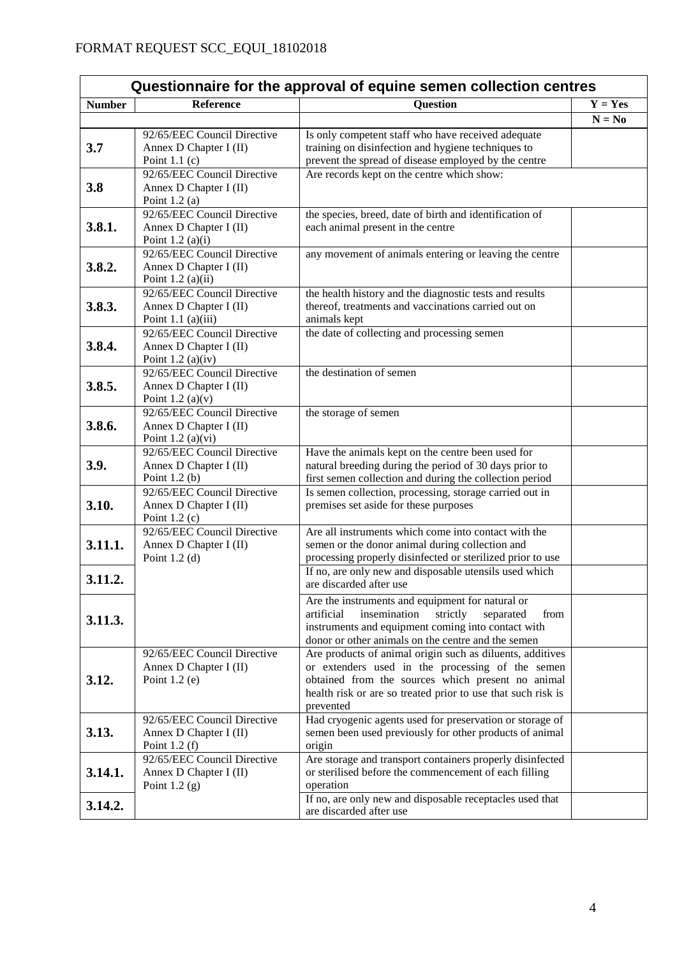| Questionnaire for the approval of equine semen collection centres |                                                     |                                                                                                               |           |
|-------------------------------------------------------------------|-----------------------------------------------------|---------------------------------------------------------------------------------------------------------------|-----------|
| <b>Number</b>                                                     | Reference                                           | <b>Question</b>                                                                                               | $Y = Yes$ |
|                                                                   |                                                     |                                                                                                               | $N = No$  |
|                                                                   | 92/65/EEC Council Directive                         | Is only competent staff who have received adequate                                                            |           |
| 3.7                                                               | Annex D Chapter I (II)                              | training on disinfection and hygiene techniques to                                                            |           |
|                                                                   | Point $1.1$ (c)                                     | prevent the spread of disease employed by the centre                                                          |           |
|                                                                   | 92/65/EEC Council Directive                         | Are records kept on the centre which show:                                                                    |           |
| 3.8                                                               | Annex D Chapter I (II)                              |                                                                                                               |           |
|                                                                   | Point $1.2$ (a)<br>92/65/EEC Council Directive      | the species, breed, date of birth and identification of                                                       |           |
| 3.8.1.                                                            | Annex D Chapter I (II)                              | each animal present in the centre                                                                             |           |
|                                                                   | Point $1.2$ (a)(i)                                  |                                                                                                               |           |
|                                                                   | 92/65/EEC Council Directive                         | any movement of animals entering or leaving the centre                                                        |           |
| 3.8.2.                                                            | Annex D Chapter I (II)                              |                                                                                                               |           |
|                                                                   | Point $1.2$ (a)(ii)                                 |                                                                                                               |           |
|                                                                   | 92/65/EEC Council Directive                         | the health history and the diagnostic tests and results                                                       |           |
| 3.8.3.                                                            | Annex D Chapter I (II)                              | thereof, treatments and vaccinations carried out on                                                           |           |
|                                                                   | Point 1.1 $(a)(iii)$<br>92/65/EEC Council Directive | animals kept                                                                                                  |           |
| 3.8.4.                                                            | Annex D Chapter I (II)                              | the date of collecting and processing semen                                                                   |           |
|                                                                   | Point $1.2$ (a)(iv)                                 |                                                                                                               |           |
|                                                                   | 92/65/EEC Council Directive                         | the destination of semen                                                                                      |           |
| 3.8.5.                                                            | Annex D Chapter I (II)                              |                                                                                                               |           |
|                                                                   | Point 1.2 (a) $(v)$                                 |                                                                                                               |           |
|                                                                   | 92/65/EEC Council Directive                         | the storage of semen                                                                                          |           |
| 3.8.6.                                                            | Annex D Chapter I (II)                              |                                                                                                               |           |
|                                                                   | Point $1.2$ (a)(vi)<br>92/65/EEC Council Directive  | Have the animals kept on the centre been used for                                                             |           |
| 3.9.                                                              | Annex D Chapter I (II)                              | natural breeding during the period of 30 days prior to                                                        |           |
|                                                                   | Point $1.2$ (b)                                     | first semen collection and during the collection period                                                       |           |
|                                                                   | 92/65/EEC Council Directive                         | Is semen collection, processing, storage carried out in                                                       |           |
| 3.10.                                                             | Annex D Chapter I (II)                              | premises set aside for these purposes                                                                         |           |
|                                                                   | Point $1.2$ (c)                                     |                                                                                                               |           |
|                                                                   | 92/65/EEC Council Directive                         | Are all instruments which come into contact with the                                                          |           |
| 3.11.1.                                                           | Annex D Chapter I (II)<br>Point $1.2$ (d)           | semen or the donor animal during collection and<br>processing properly disinfected or sterilized prior to use |           |
|                                                                   |                                                     | If no, are only new and disposable utensils used which                                                        |           |
| 3.11.2.                                                           |                                                     | are discarded after use                                                                                       |           |
|                                                                   |                                                     | Are the instruments and equipment for natural or                                                              |           |
|                                                                   |                                                     | artificial<br>insemination<br>strictly<br>from<br>separated                                                   |           |
| 3.11.3.                                                           |                                                     | instruments and equipment coming into contact with                                                            |           |
|                                                                   |                                                     | donor or other animals on the centre and the semen                                                            |           |
|                                                                   | 92/65/EEC Council Directive                         | Are products of animal origin such as diluents, additives                                                     |           |
|                                                                   | Annex D Chapter I (II)                              | or extenders used in the processing of the semen                                                              |           |
| 3.12.                                                             | Point $1.2$ (e)                                     | obtained from the sources which present no animal                                                             |           |
|                                                                   |                                                     | health risk or are so treated prior to use that such risk is<br>prevented                                     |           |
|                                                                   | 92/65/EEC Council Directive                         | Had cryogenic agents used for preservation or storage of                                                      |           |
| 3.13.                                                             | Annex D Chapter I (II)                              | semen been used previously for other products of animal                                                       |           |
|                                                                   | Point $1.2(f)$                                      | origin                                                                                                        |           |
|                                                                   | 92/65/EEC Council Directive                         | Are storage and transport containers properly disinfected                                                     |           |
| 3.14.1.                                                           | Annex D Chapter I (II)                              | or sterilised before the commencement of each filling                                                         |           |
|                                                                   | Point $1.2$ (g)                                     | operation                                                                                                     |           |
| 3.14.2.                                                           |                                                     | If no, are only new and disposable receptacles used that<br>are discarded after use                           |           |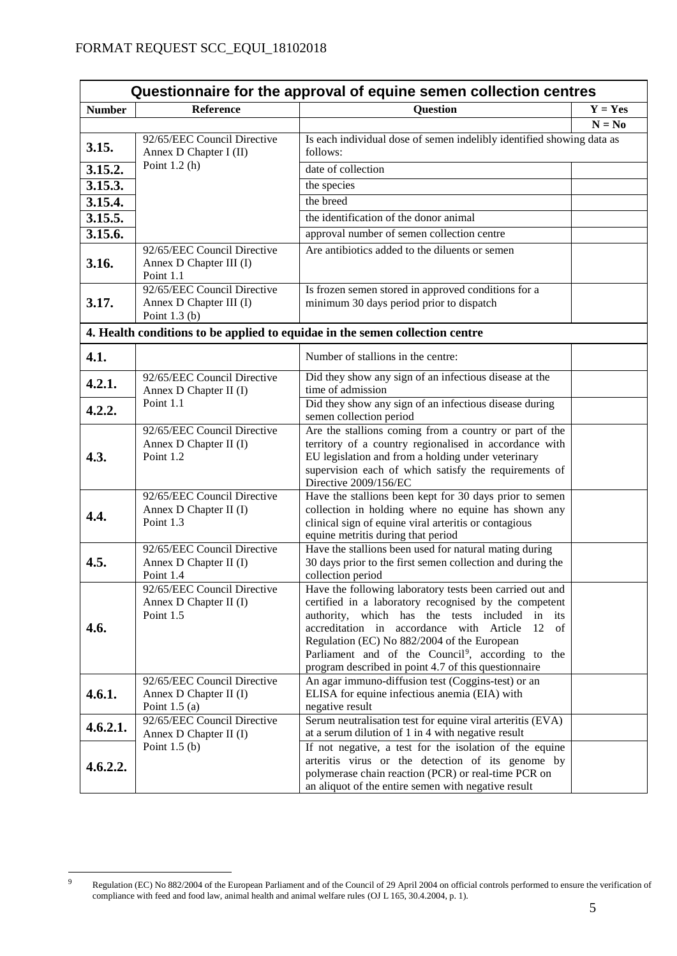| Questionnaire for the approval of equine semen collection centres |                                                                           |                                                                                                                                                                                                                                                                                                                                                                                                        |           |  |
|-------------------------------------------------------------------|---------------------------------------------------------------------------|--------------------------------------------------------------------------------------------------------------------------------------------------------------------------------------------------------------------------------------------------------------------------------------------------------------------------------------------------------------------------------------------------------|-----------|--|
| <b>Number</b>                                                     | <b>Reference</b>                                                          | <b>Question</b>                                                                                                                                                                                                                                                                                                                                                                                        | $Y = Yes$ |  |
|                                                                   |                                                                           |                                                                                                                                                                                                                                                                                                                                                                                                        | $N = No$  |  |
| 3.15.                                                             | 92/65/EEC Council Directive<br>Annex D Chapter I (II)                     | Is each individual dose of semen indelibly identified showing data as<br>follows:                                                                                                                                                                                                                                                                                                                      |           |  |
| 3.15.2.                                                           | Point $1.2(h)$                                                            | date of collection                                                                                                                                                                                                                                                                                                                                                                                     |           |  |
| 3.15.3.                                                           |                                                                           | the species                                                                                                                                                                                                                                                                                                                                                                                            |           |  |
| 3.15.4.                                                           |                                                                           | the breed                                                                                                                                                                                                                                                                                                                                                                                              |           |  |
| 3.15.5.                                                           |                                                                           | the identification of the donor animal                                                                                                                                                                                                                                                                                                                                                                 |           |  |
| 3.15.6.                                                           |                                                                           | approval number of semen collection centre                                                                                                                                                                                                                                                                                                                                                             |           |  |
|                                                                   | 92/65/EEC Council Directive                                               | Are antibiotics added to the diluents or semen                                                                                                                                                                                                                                                                                                                                                         |           |  |
| 3.16.                                                             | Annex D Chapter III (I)<br>Point 1.1                                      |                                                                                                                                                                                                                                                                                                                                                                                                        |           |  |
| 3.17.                                                             | 92/65/EEC Council Directive<br>Annex D Chapter III (I)<br>Point $1.3$ (b) | Is frozen semen stored in approved conditions for a<br>minimum 30 days period prior to dispatch                                                                                                                                                                                                                                                                                                        |           |  |
|                                                                   |                                                                           | 4. Health conditions to be applied to equidae in the semen collection centre                                                                                                                                                                                                                                                                                                                           |           |  |
| 4.1.                                                              |                                                                           | Number of stallions in the centre:                                                                                                                                                                                                                                                                                                                                                                     |           |  |
| 4.2.1.                                                            | 92/65/EEC Council Directive<br>Annex D Chapter II (I)                     | Did they show any sign of an infectious disease at the<br>time of admission                                                                                                                                                                                                                                                                                                                            |           |  |
| 4.2.2.                                                            | Point 1.1                                                                 | Did they show any sign of an infectious disease during<br>semen collection period                                                                                                                                                                                                                                                                                                                      |           |  |
| 4.3.                                                              | 92/65/EEC Council Directive<br>Annex D Chapter II (I)<br>Point 1.2        | Are the stallions coming from a country or part of the<br>territory of a country regionalised in accordance with<br>EU legislation and from a holding under veterinary<br>supervision each of which satisfy the requirements of<br>Directive 2009/156/EC                                                                                                                                               |           |  |
| 4.4.                                                              | 92/65/EEC Council Directive<br>Annex D Chapter II (I)<br>Point 1.3        | Have the stallions been kept for 30 days prior to semen<br>collection in holding where no equine has shown any<br>clinical sign of equine viral arteritis or contagious<br>equine metritis during that period                                                                                                                                                                                          |           |  |
| 4.5.                                                              | 92/65/EEC Council Directive<br>Annex D Chapter II (I)<br>Point 1.4        | Have the stallions been used for natural mating during<br>30 days prior to the first semen collection and during the<br>collection period                                                                                                                                                                                                                                                              |           |  |
| 4.6.                                                              | 92/65/EEC Council Directive<br>Annex D Chapter II (I)<br>Point 1.5        | Have the following laboratory tests been carried out and<br>certified in a laboratory recognised by the competent<br>authority, which has the tests included<br>in its<br>accreditation in accordance with Article<br>12<br>of<br>Regulation (EC) No 882/2004 of the European<br>Parliament and of the Council <sup>9</sup> , according to the<br>program described in point 4.7 of this questionnaire |           |  |
| 4.6.1.                                                            | 92/65/EEC Council Directive<br>Annex D Chapter II (I)<br>Point $1.5(a)$   | An agar immuno-diffusion test (Coggins-test) or an<br>ELISA for equine infectious anemia (EIA) with<br>negative result                                                                                                                                                                                                                                                                                 |           |  |
| 4.6.2.1.                                                          | 92/65/EEC Council Directive<br>Annex D Chapter II (I)                     | Serum neutralisation test for equine viral arteritis (EVA)<br>at a serum dilution of 1 in 4 with negative result                                                                                                                                                                                                                                                                                       |           |  |
| 4.6.2.2.                                                          | Point $1.5(b)$                                                            | If not negative, a test for the isolation of the equine<br>arteritis virus or the detection of its genome by<br>polymerase chain reaction (PCR) or real-time PCR on<br>an aliquot of the entire semen with negative result                                                                                                                                                                             |           |  |

<span id="page-4-0"></span> $\overline{9}$ Regulation (EC) No 882/2004 of the European Parliament and of the Council of 29 April 2004 on official controls performed to ensure the [verification of](http://eur-lex.europa.eu/legal-content/AUTO/?uri=CELEX%3A02004R0882-20130701&qid=1400494705146&rid=1) compliance with feed and food law, animal health and animal welfare rules (OJ L 165, 30.4.2004, p. 1).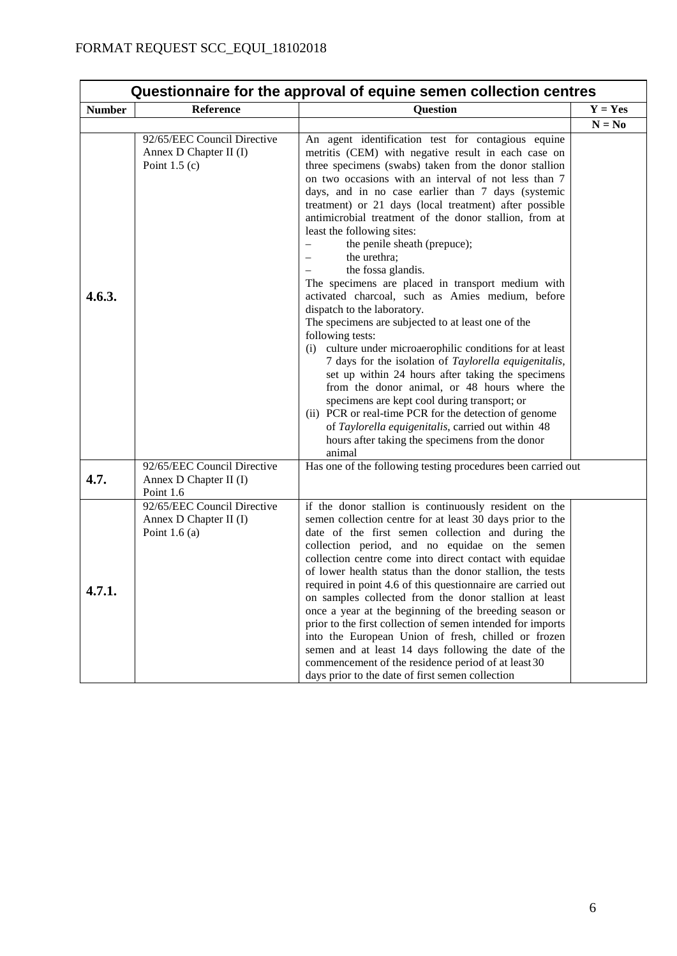| Questionnaire for the approval of equine semen collection centres |                                                                         |                                                                                                                                                                                                                                                                                                                                                                                                                                                                                                                                                                                                                                                                                                                                                                                                                                                                                                                                                                                                                                                                                                                                                                                   |           |
|-------------------------------------------------------------------|-------------------------------------------------------------------------|-----------------------------------------------------------------------------------------------------------------------------------------------------------------------------------------------------------------------------------------------------------------------------------------------------------------------------------------------------------------------------------------------------------------------------------------------------------------------------------------------------------------------------------------------------------------------------------------------------------------------------------------------------------------------------------------------------------------------------------------------------------------------------------------------------------------------------------------------------------------------------------------------------------------------------------------------------------------------------------------------------------------------------------------------------------------------------------------------------------------------------------------------------------------------------------|-----------|
| <b>Number</b>                                                     | Reference                                                               | <b>Question</b>                                                                                                                                                                                                                                                                                                                                                                                                                                                                                                                                                                                                                                                                                                                                                                                                                                                                                                                                                                                                                                                                                                                                                                   | $Y = Yes$ |
|                                                                   |                                                                         |                                                                                                                                                                                                                                                                                                                                                                                                                                                                                                                                                                                                                                                                                                                                                                                                                                                                                                                                                                                                                                                                                                                                                                                   | $N = No$  |
| 4.6.3.                                                            | 92/65/EEC Council Directive<br>Annex D Chapter II (I)<br>Point $1.5(c)$ | An agent identification test for contagious equine<br>metritis (CEM) with negative result in each case on<br>three specimens (swabs) taken from the donor stallion<br>on two occasions with an interval of not less than 7<br>days, and in no case earlier than 7 days (systemic<br>treatment) or 21 days (local treatment) after possible<br>antimicrobial treatment of the donor stallion, from at<br>least the following sites:<br>the penile sheath (prepuce);<br>the urethra;<br>the fossa glandis.<br>The specimens are placed in transport medium with<br>activated charcoal, such as Amies medium, before<br>dispatch to the laboratory.<br>The specimens are subjected to at least one of the<br>following tests:<br>(i) culture under microaerophilic conditions for at least<br>7 days for the isolation of Taylorella equigenitalis,<br>set up within 24 hours after taking the specimens<br>from the donor animal, or 48 hours where the<br>specimens are kept cool during transport; or<br>(ii) PCR or real-time PCR for the detection of genome<br>of Taylorella equigenitalis, carried out within 48<br>hours after taking the specimens from the donor<br>animal |           |
| 4.7.                                                              | 92/65/EEC Council Directive<br>Annex D Chapter II (I)<br>Point 1.6      | Has one of the following testing procedures been carried out                                                                                                                                                                                                                                                                                                                                                                                                                                                                                                                                                                                                                                                                                                                                                                                                                                                                                                                                                                                                                                                                                                                      |           |
| 4.7.1.                                                            | 92/65/EEC Council Directive<br>Annex D Chapter II (I)<br>Point $1.6(a)$ | if the donor stallion is continuously resident on the<br>semen collection centre for at least 30 days prior to the<br>date of the first semen collection and during the<br>collection period, and no equidae on the semen<br>collection centre come into direct contact with equidae<br>of lower health status than the donor stallion, the tests<br>required in point 4.6 of this questionnaire are carried out<br>on samples collected from the donor stallion at least<br>once a year at the beginning of the breeding season or<br>prior to the first collection of semen intended for imports<br>into the European Union of fresh, chilled or frozen<br>semen and at least 14 days following the date of the<br>commencement of the residence period of at least 30<br>days prior to the date of first semen collection                                                                                                                                                                                                                                                                                                                                                      |           |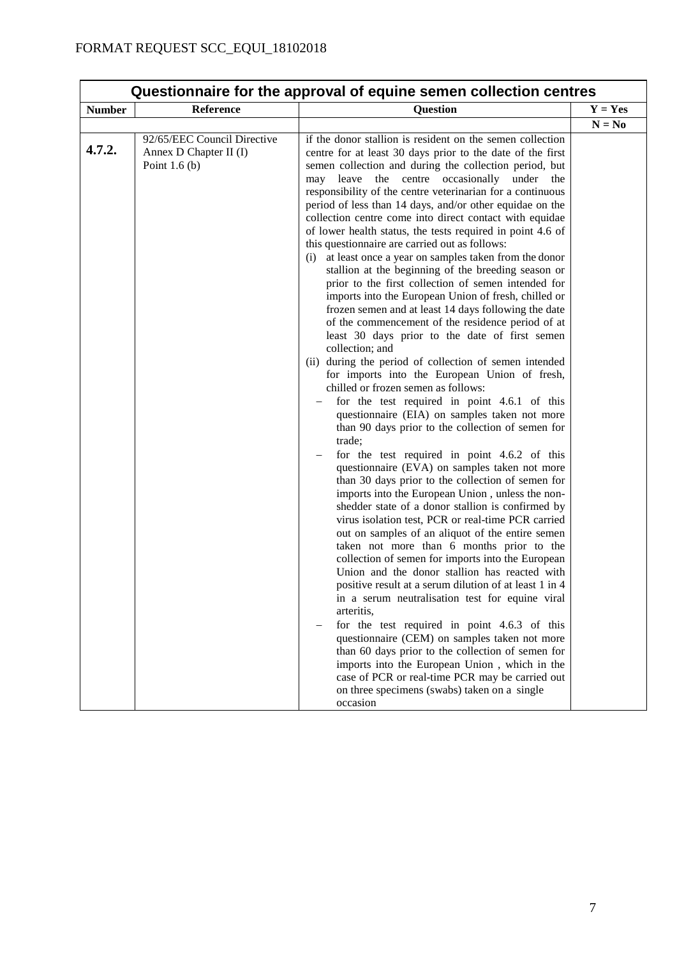| Questionnaire for the approval of equine semen collection centres |                                                                         |                                                                                                                                                                                                                                                                                                                                                                                                                                                                                                                                                                                                                                                                                                                                                                                                                                                                                                                                                                                                                                                                                                                                                                                                                                                                                                                                                                                                                                                                                                                                                                                                                                                                                                                                                                                                                                                                                                                                                                                                                                                                                                                                                                                                                                                          |           |
|-------------------------------------------------------------------|-------------------------------------------------------------------------|----------------------------------------------------------------------------------------------------------------------------------------------------------------------------------------------------------------------------------------------------------------------------------------------------------------------------------------------------------------------------------------------------------------------------------------------------------------------------------------------------------------------------------------------------------------------------------------------------------------------------------------------------------------------------------------------------------------------------------------------------------------------------------------------------------------------------------------------------------------------------------------------------------------------------------------------------------------------------------------------------------------------------------------------------------------------------------------------------------------------------------------------------------------------------------------------------------------------------------------------------------------------------------------------------------------------------------------------------------------------------------------------------------------------------------------------------------------------------------------------------------------------------------------------------------------------------------------------------------------------------------------------------------------------------------------------------------------------------------------------------------------------------------------------------------------------------------------------------------------------------------------------------------------------------------------------------------------------------------------------------------------------------------------------------------------------------------------------------------------------------------------------------------------------------------------------------------------------------------------------------------|-----------|
| <b>Number</b>                                                     | Reference                                                               | <b>Question</b>                                                                                                                                                                                                                                                                                                                                                                                                                                                                                                                                                                                                                                                                                                                                                                                                                                                                                                                                                                                                                                                                                                                                                                                                                                                                                                                                                                                                                                                                                                                                                                                                                                                                                                                                                                                                                                                                                                                                                                                                                                                                                                                                                                                                                                          | $Y = Yes$ |
|                                                                   |                                                                         |                                                                                                                                                                                                                                                                                                                                                                                                                                                                                                                                                                                                                                                                                                                                                                                                                                                                                                                                                                                                                                                                                                                                                                                                                                                                                                                                                                                                                                                                                                                                                                                                                                                                                                                                                                                                                                                                                                                                                                                                                                                                                                                                                                                                                                                          | $N = No$  |
| 4.7.2.                                                            | 92/65/EEC Council Directive<br>Annex D Chapter II (I)<br>Point $1.6(b)$ | if the donor stallion is resident on the semen collection<br>centre for at least 30 days prior to the date of the first<br>semen collection and during the collection period, but<br>the centre occasionally<br>leave<br>under<br>may<br>the<br>responsibility of the centre veterinarian for a continuous<br>period of less than 14 days, and/or other equidae on the<br>collection centre come into direct contact with equidae<br>of lower health status, the tests required in point 4.6 of<br>this questionnaire are carried out as follows:<br>(i) at least once a year on samples taken from the donor<br>stallion at the beginning of the breeding season or<br>prior to the first collection of semen intended for<br>imports into the European Union of fresh, chilled or<br>frozen semen and at least 14 days following the date<br>of the commencement of the residence period of at<br>least 30 days prior to the date of first semen<br>collection; and<br>(ii) during the period of collection of semen intended<br>for imports into the European Union of fresh,<br>chilled or frozen semen as follows:<br>for the test required in point 4.6.1 of this<br>questionnaire (EIA) on samples taken not more<br>than 90 days prior to the collection of semen for<br>trade;<br>for the test required in point 4.6.2 of this<br>questionnaire (EVA) on samples taken not more<br>than 30 days prior to the collection of semen for<br>imports into the European Union, unless the non-<br>shedder state of a donor stallion is confirmed by<br>virus isolation test, PCR or real-time PCR carried<br>out on samples of an aliquot of the entire semen<br>taken not more than 6 months prior to the<br>collection of semen for imports into the European<br>Union and the donor stallion has reacted with<br>positive result at a serum dilution of at least 1 in 4<br>in a serum neutralisation test for equine viral<br>arteritis,<br>for the test required in point 4.6.3 of this<br>questionnaire (CEM) on samples taken not more<br>than 60 days prior to the collection of semen for<br>imports into the European Union, which in the<br>case of PCR or real-time PCR may be carried out<br>on three specimens (swabs) taken on a single |           |
|                                                                   |                                                                         | occasion                                                                                                                                                                                                                                                                                                                                                                                                                                                                                                                                                                                                                                                                                                                                                                                                                                                                                                                                                                                                                                                                                                                                                                                                                                                                                                                                                                                                                                                                                                                                                                                                                                                                                                                                                                                                                                                                                                                                                                                                                                                                                                                                                                                                                                                 |           |